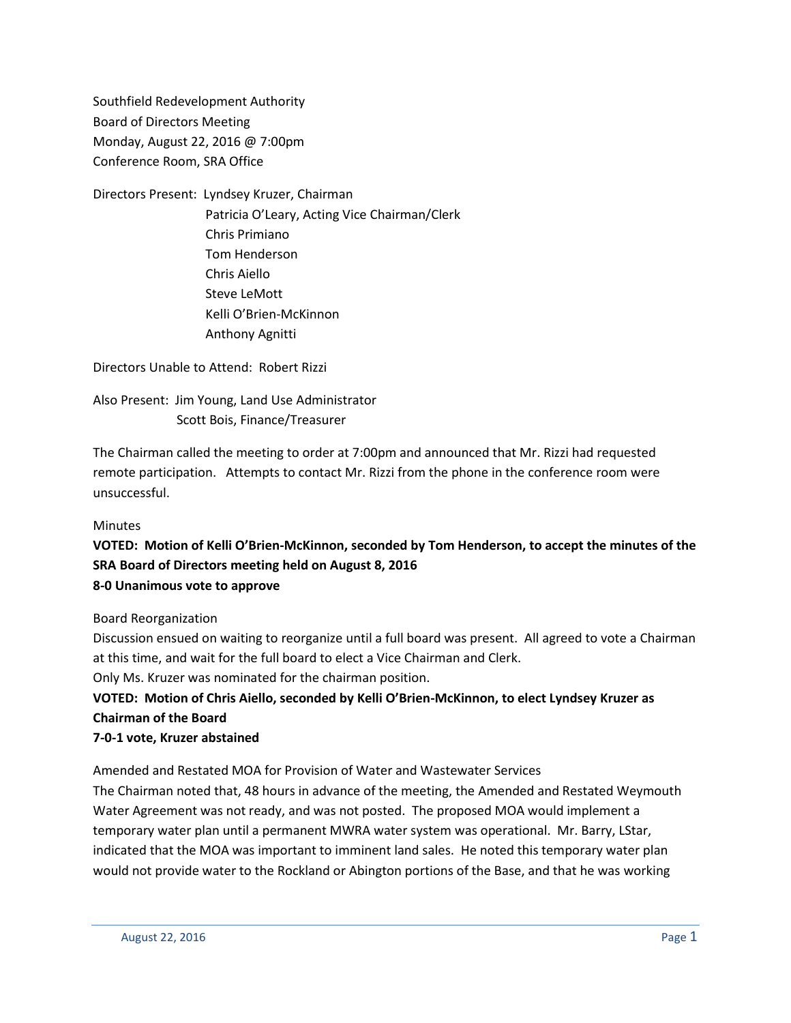Southfield Redevelopment Authority Board of Directors Meeting Monday, August 22, 2016 @ 7:00pm Conference Room, SRA Office

Directors Present: Lyndsey Kruzer, Chairman Patricia O'Leary, Acting Vice Chairman/Clerk Chris Primiano Tom Henderson Chris Aiello Steve LeMott Kelli O'Brien-McKinnon Anthony Agnitti

Directors Unable to Attend: Robert Rizzi

Also Present: Jim Young, Land Use Administrator Scott Bois, Finance/Treasurer

The Chairman called the meeting to order at 7:00pm and announced that Mr. Rizzi had requested remote participation. Attempts to contact Mr. Rizzi from the phone in the conference room were unsuccessful.

### Minutes

**VOTED: Motion of Kelli O'Brien-McKinnon, seconded by Tom Henderson, to accept the minutes of the SRA Board of Directors meeting held on August 8, 2016 8-0 Unanimous vote to approve**

Board Reorganization

Discussion ensued on waiting to reorganize until a full board was present. All agreed to vote a Chairman at this time, and wait for the full board to elect a Vice Chairman and Clerk.

Only Ms. Kruzer was nominated for the chairman position.

# **VOTED: Motion of Chris Aiello, seconded by Kelli O'Brien-McKinnon, to elect Lyndsey Kruzer as Chairman of the Board**

## **7-0-1 vote, Kruzer abstained**

Amended and Restated MOA for Provision of Water and Wastewater Services

The Chairman noted that, 48 hours in advance of the meeting, the Amended and Restated Weymouth Water Agreement was not ready, and was not posted. The proposed MOA would implement a temporary water plan until a permanent MWRA water system was operational. Mr. Barry, LStar, indicated that the MOA was important to imminent land sales. He noted this temporary water plan would not provide water to the Rockland or Abington portions of the Base, and that he was working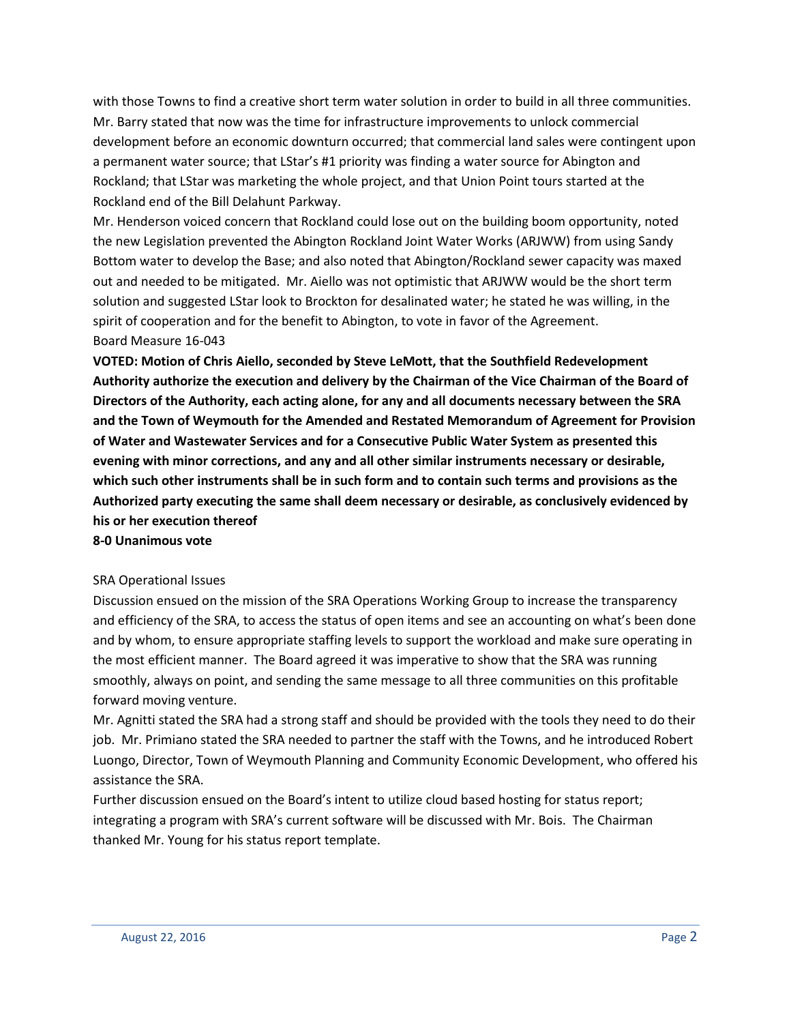with those Towns to find a creative short term water solution in order to build in all three communities. Mr. Barry stated that now was the time for infrastructure improvements to unlock commercial development before an economic downturn occurred; that commercial land sales were contingent upon a permanent water source; that LStar's #1 priority was finding a water source for Abington and Rockland; that LStar was marketing the whole project, and that Union Point tours started at the Rockland end of the Bill Delahunt Parkway.

Mr. Henderson voiced concern that Rockland could lose out on the building boom opportunity, noted the new Legislation prevented the Abington Rockland Joint Water Works (ARJWW) from using Sandy Bottom water to develop the Base; and also noted that Abington/Rockland sewer capacity was maxed out and needed to be mitigated. Mr. Aiello was not optimistic that ARJWW would be the short term solution and suggested LStar look to Brockton for desalinated water; he stated he was willing, in the spirit of cooperation and for the benefit to Abington, to vote in favor of the Agreement. Board Measure 16-043

**VOTED: Motion of Chris Aiello, seconded by Steve LeMott, that the Southfield Redevelopment Authority authorize the execution and delivery by the Chairman of the Vice Chairman of the Board of Directors of the Authority, each acting alone, for any and all documents necessary between the SRA and the Town of Weymouth for the Amended and Restated Memorandum of Agreement for Provision of Water and Wastewater Services and for a Consecutive Public Water System as presented this evening with minor corrections, and any and all other similar instruments necessary or desirable, which such other instruments shall be in such form and to contain such terms and provisions as the Authorized party executing the same shall deem necessary or desirable, as conclusively evidenced by his or her execution thereof**

**8-0 Unanimous vote**

#### SRA Operational Issues

Discussion ensued on the mission of the SRA Operations Working Group to increase the transparency and efficiency of the SRA, to access the status of open items and see an accounting on what's been done and by whom, to ensure appropriate staffing levels to support the workload and make sure operating in the most efficient manner. The Board agreed it was imperative to show that the SRA was running smoothly, always on point, and sending the same message to all three communities on this profitable forward moving venture.

Mr. Agnitti stated the SRA had a strong staff and should be provided with the tools they need to do their job. Mr. Primiano stated the SRA needed to partner the staff with the Towns, and he introduced Robert Luongo, Director, Town of Weymouth Planning and Community Economic Development, who offered his assistance the SRA.

Further discussion ensued on the Board's intent to utilize cloud based hosting for status report; integrating a program with SRA's current software will be discussed with Mr. Bois. The Chairman thanked Mr. Young for his status report template.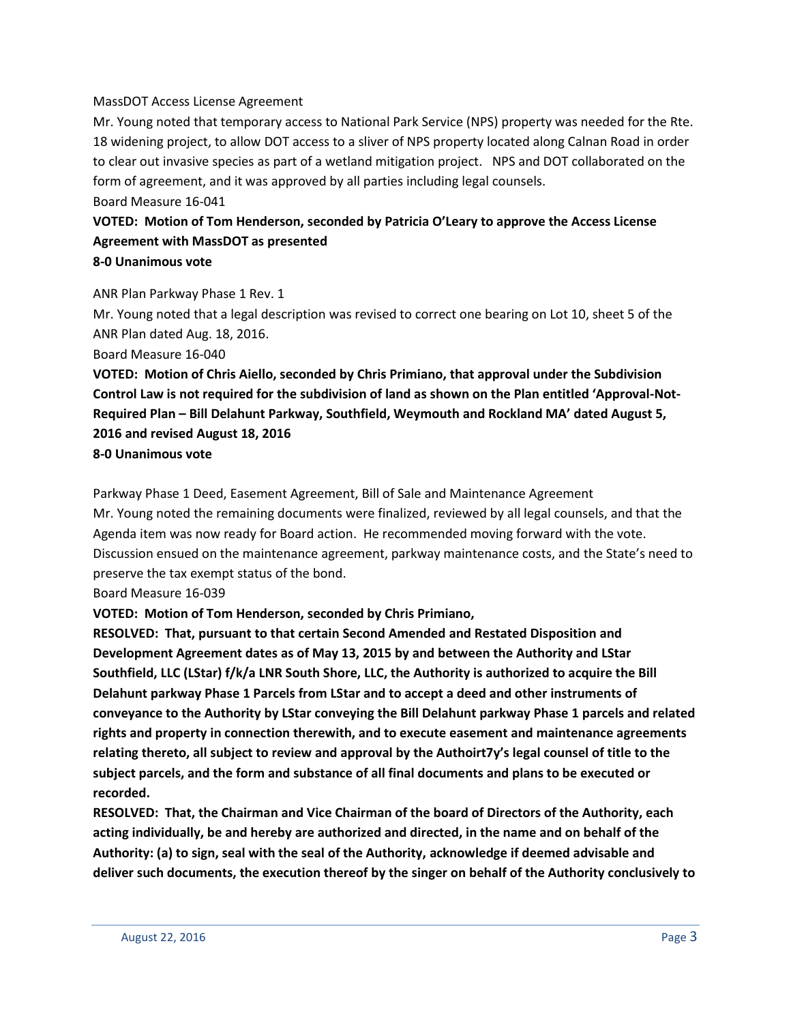#### MassDOT Access License Agreement

Mr. Young noted that temporary access to National Park Service (NPS) property was needed for the Rte. 18 widening project, to allow DOT access to a sliver of NPS property located along Calnan Road in order to clear out invasive species as part of a wetland mitigation project. NPS and DOT collaborated on the form of agreement, and it was approved by all parties including legal counsels.

Board Measure 16-041

## **VOTED: Motion of Tom Henderson, seconded by Patricia O'Leary to approve the Access License Agreement with MassDOT as presented 8-0 Unanimous vote**

ANR Plan Parkway Phase 1 Rev. 1

Mr. Young noted that a legal description was revised to correct one bearing on Lot 10, sheet 5 of the ANR Plan dated Aug. 18, 2016.

Board Measure 16-040

**VOTED: Motion of Chris Aiello, seconded by Chris Primiano, that approval under the Subdivision Control Law is not required for the subdivision of land as shown on the Plan entitled 'Approval-Not-Required Plan – Bill Delahunt Parkway, Southfield, Weymouth and Rockland MA' dated August 5, 2016 and revised August 18, 2016**

**8-0 Unanimous vote**

Parkway Phase 1 Deed, Easement Agreement, Bill of Sale and Maintenance Agreement Mr. Young noted the remaining documents were finalized, reviewed by all legal counsels, and that the Agenda item was now ready for Board action. He recommended moving forward with the vote. Discussion ensued on the maintenance agreement, parkway maintenance costs, and the State's need to preserve the tax exempt status of the bond.

Board Measure 16-039

**VOTED: Motion of Tom Henderson, seconded by Chris Primiano,**

**RESOLVED: That, pursuant to that certain Second Amended and Restated Disposition and Development Agreement dates as of May 13, 2015 by and between the Authority and LStar Southfield, LLC (LStar) f/k/a LNR South Shore, LLC, the Authority is authorized to acquire the Bill Delahunt parkway Phase 1 Parcels from LStar and to accept a deed and other instruments of conveyance to the Authority by LStar conveying the Bill Delahunt parkway Phase 1 parcels and related rights and property in connection therewith, and to execute easement and maintenance agreements relating thereto, all subject to review and approval by the Authoirt7y's legal counsel of title to the subject parcels, and the form and substance of all final documents and plans to be executed or recorded.**

**RESOLVED: That, the Chairman and Vice Chairman of the board of Directors of the Authority, each acting individually, be and hereby are authorized and directed, in the name and on behalf of the Authority: (a) to sign, seal with the seal of the Authority, acknowledge if deemed advisable and deliver such documents, the execution thereof by the singer on behalf of the Authority conclusively to**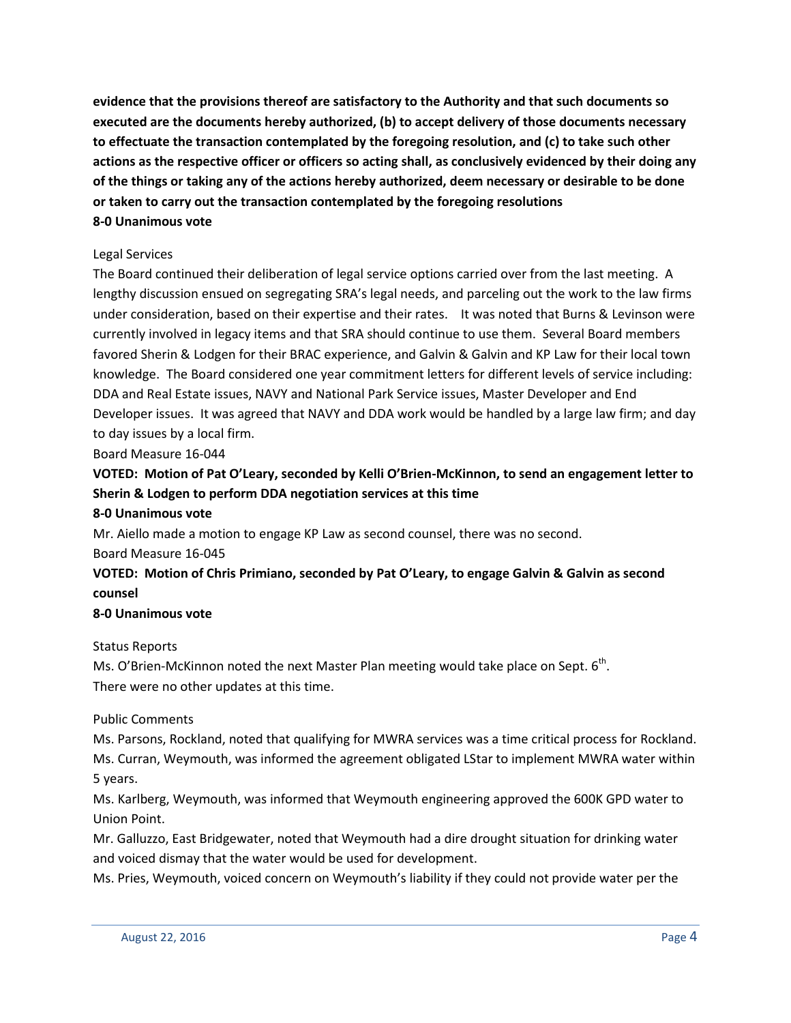**evidence that the provisions thereof are satisfactory to the Authority and that such documents so executed are the documents hereby authorized, (b) to accept delivery of those documents necessary to effectuate the transaction contemplated by the foregoing resolution, and (c) to take such other actions as the respective officer or officers so acting shall, as conclusively evidenced by their doing any of the things or taking any of the actions hereby authorized, deem necessary or desirable to be done or taken to carry out the transaction contemplated by the foregoing resolutions 8-0 Unanimous vote**

## Legal Services

The Board continued their deliberation of legal service options carried over from the last meeting. A lengthy discussion ensued on segregating SRA's legal needs, and parceling out the work to the law firms under consideration, based on their expertise and their rates. It was noted that Burns & Levinson were currently involved in legacy items and that SRA should continue to use them. Several Board members favored Sherin & Lodgen for their BRAC experience, and Galvin & Galvin and KP Law for their local town knowledge. The Board considered one year commitment letters for different levels of service including: DDA and Real Estate issues, NAVY and National Park Service issues, Master Developer and End Developer issues. It was agreed that NAVY and DDA work would be handled by a large law firm; and day to day issues by a local firm.

Board Measure 16-044

# **VOTED: Motion of Pat O'Leary, seconded by Kelli O'Brien-McKinnon, to send an engagement letter to Sherin & Lodgen to perform DDA negotiation services at this time**

## **8-0 Unanimous vote**

Mr. Aiello made a motion to engage KP Law as second counsel, there was no second.

### Board Measure 16-045

# **VOTED: Motion of Chris Primiano, seconded by Pat O'Leary, to engage Galvin & Galvin as second counsel**

### **8-0 Unanimous vote**

### Status Reports

Ms. O'Brien-McKinnon noted the next Master Plan meeting would take place on Sept.  $6<sup>th</sup>$ . There were no other updates at this time.

## Public Comments

Ms. Parsons, Rockland, noted that qualifying for MWRA services was a time critical process for Rockland. Ms. Curran, Weymouth, was informed the agreement obligated LStar to implement MWRA water within 5 years.

Ms. Karlberg, Weymouth, was informed that Weymouth engineering approved the 600K GPD water to Union Point.

Mr. Galluzzo, East Bridgewater, noted that Weymouth had a dire drought situation for drinking water and voiced dismay that the water would be used for development.

Ms. Pries, Weymouth, voiced concern on Weymouth's liability if they could not provide water per the